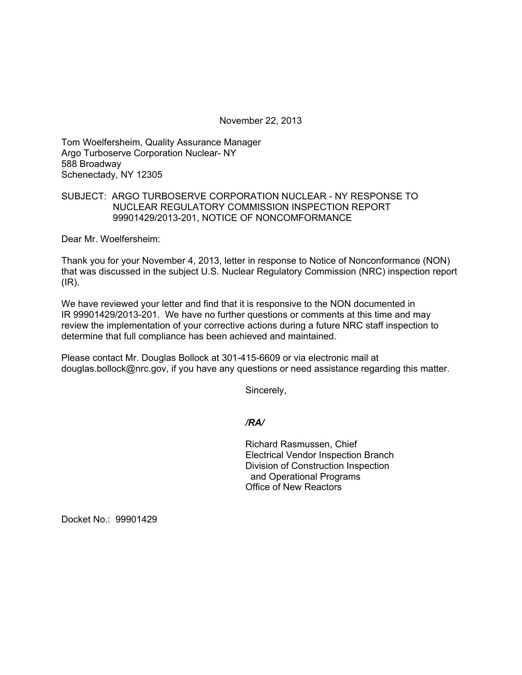November 22, 2013

Tom Woelfersheim, Quality Assurance Manager Argo Turboserve Corporation Nuclear- NY 588 Broadway Schenectady, NY 12305

## SUBJECT: ARGO TURBOSERVE CORPORATION NUCLEAR - NY RESPONSE TO NUCLEAR REGULATORY COMMISSION INSPECTION REPORT 99901429/2013-201, NOTICE OF NONCOMFORMANCE

Dear Mr. Woelfersheim:

Thank you for your November 4, 2013, letter in response to Notice of Nonconformance (NON) that was discussed in the subject U.S. Nuclear Regulatory Commission (NRC) inspection report (IR).

We have reviewed your letter and find that it is responsive to the NON documented in IR 99901429/2013-201. We have no further questions or comments at this time and may review the implementation of your corrective actions during a future NRC staff inspection to determine that full compliance has been achieved and maintained.

Please contact Mr. Douglas Bollock at 301-415-6609 or via electronic mail at douglas.bollock@nrc.gov, if you have any questions or need assistance regarding this matter.

Sincerely,

*/RA/* 

Richard Rasmussen, Chief Electrical Vendor Inspection Branch Division of Construction Inspection and Operational Programs Office of New Reactors

Docket No.: 99901429